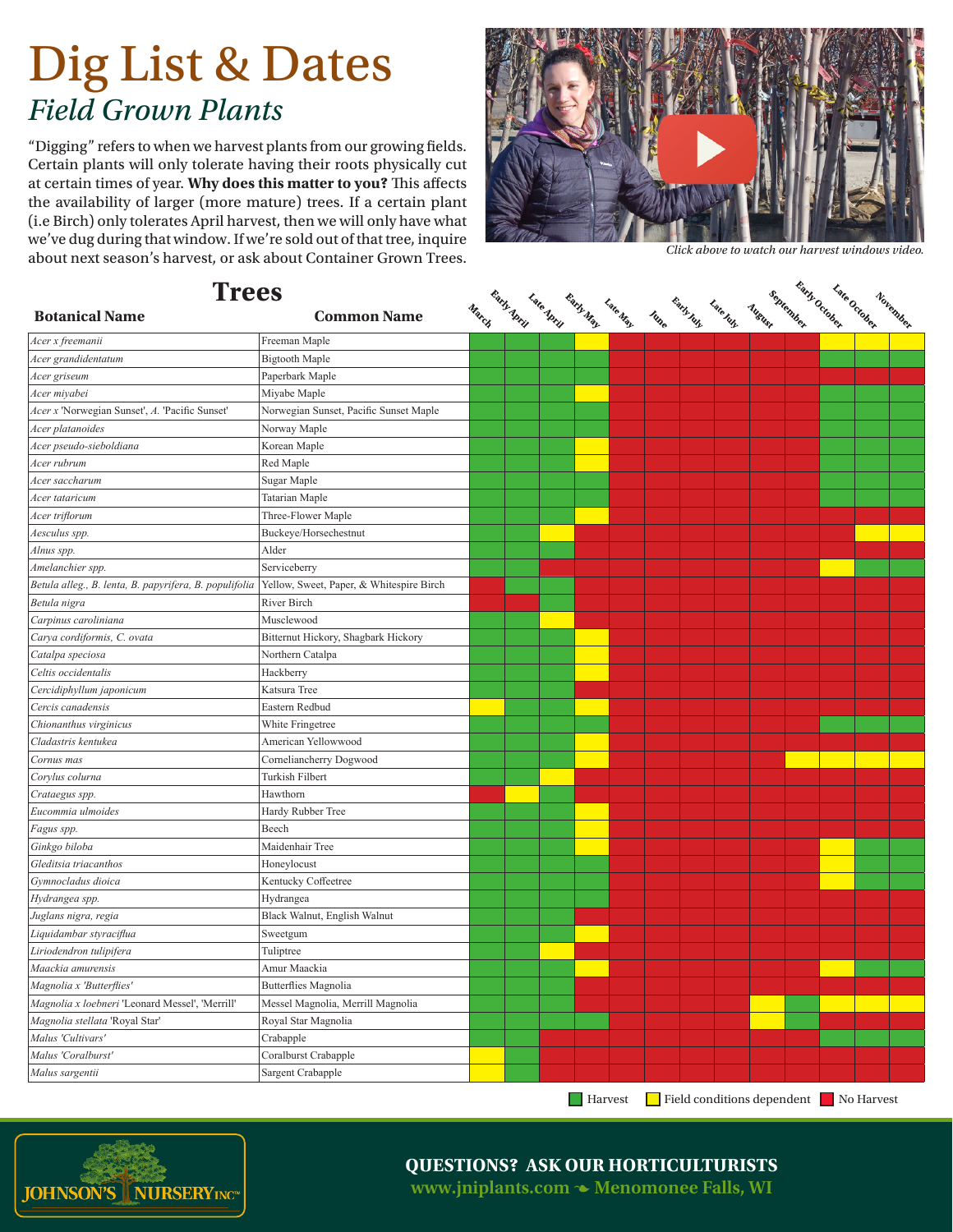## Dig List & Dates *Field Grown Plants*

"Digging" refers to when we harvest plants from our growing fields. Certain plants will only tolerate having their roots physically cut at certain times of year. **Why does this matter to you?** This affects the availability of larger (more mature) trees. If a certain plant (i.e Birch) only tolerates April harvest, then we will only have what we've dug during that window. If we're sold out of that tree, inquire about next season's harvest, or ask about Container Grown Trees.



*Click above to watch our harvest windows video.*

| <b>Trees</b>                                           |                                          |  |                                   |                |      |            |          |                                       |  |          |
|--------------------------------------------------------|------------------------------------------|--|-----------------------------------|----------------|------|------------|----------|---------------------------------------|--|----------|
| <b>Botanical Name</b>                                  | <b>Common Name</b>                       |  | March Mary Late Mary May Late May |                | Iune | Early July | Late hay | Australia de Carriage de Carriage     |  | November |
| Acer x freemanii                                       | Freeman Maple                            |  |                                   |                |      |            |          |                                       |  |          |
| Acer grandidentatum                                    | <b>Bigtooth Maple</b>                    |  |                                   |                |      |            |          |                                       |  |          |
| Acer griseum                                           | Paperbark Maple                          |  |                                   |                |      |            |          |                                       |  |          |
| Acer miyabei                                           | Miyabe Maple                             |  |                                   |                |      |            |          |                                       |  |          |
| Acer x 'Norwegian Sunset', A. 'Pacific Sunset'         | Norwegian Sunset, Pacific Sunset Maple   |  |                                   |                |      |            |          |                                       |  |          |
| Acer platanoides                                       | Norway Maple                             |  |                                   |                |      |            |          |                                       |  |          |
| Acer pseudo-sieboldiana                                | Korean Maple                             |  |                                   |                |      |            |          |                                       |  |          |
| Acer rubrum                                            | Red Maple                                |  |                                   |                |      |            |          |                                       |  |          |
| Acer saccharum                                         | Sugar Maple                              |  |                                   |                |      |            |          |                                       |  |          |
| Acer tataricum                                         | <b>Tatarian Maple</b>                    |  |                                   |                |      |            |          |                                       |  |          |
| Acer triflorum                                         | Three-Flower Maple                       |  |                                   |                |      |            |          |                                       |  |          |
| Aesculus spp.                                          | Buckeye/Horsechestnut                    |  |                                   |                |      |            |          |                                       |  |          |
| Alnus spp.                                             | Alder                                    |  |                                   |                |      |            |          |                                       |  |          |
| Amelanchier spp.                                       | Serviceberry                             |  |                                   |                |      |            |          |                                       |  |          |
| Betula alleg., B. lenta, B. papyrifera, B. populifolia | Yellow, Sweet, Paper, & Whitespire Birch |  |                                   |                |      |            |          |                                       |  |          |
| Betula nigra                                           | <b>River Birch</b>                       |  |                                   |                |      |            |          |                                       |  |          |
| Carpinus caroliniana                                   | Musclewood                               |  |                                   |                |      |            |          |                                       |  |          |
| Carya cordiformis, C. ovata                            | Bitternut Hickory, Shagbark Hickory      |  |                                   |                |      |            |          |                                       |  |          |
| Catalpa speciosa                                       | Northern Catalpa                         |  |                                   |                |      |            |          |                                       |  |          |
| Celtis occidentalis                                    | Hackberry                                |  |                                   |                |      |            |          |                                       |  |          |
| Cercidiphyllum japonicum                               | Katsura Tree                             |  |                                   |                |      |            |          |                                       |  |          |
| Cercis canadensis                                      | Eastern Redbud                           |  |                                   |                |      |            |          |                                       |  |          |
| Chionanthus virginicus                                 | White Fringetree                         |  |                                   |                |      |            |          |                                       |  |          |
| Cladastris kentukea                                    | American Yellowwood                      |  |                                   |                |      |            |          |                                       |  |          |
| Cornus mas                                             | Corneliancherry Dogwood                  |  |                                   |                |      |            |          |                                       |  |          |
| Corylus colurna                                        | Turkish Filbert                          |  |                                   |                |      |            |          |                                       |  |          |
| Crataegus spp.                                         | Hawthorn                                 |  |                                   |                |      |            |          |                                       |  |          |
| Eucommia ulmoides                                      | Hardy Rubber Tree                        |  |                                   |                |      |            |          |                                       |  |          |
| Fagus spp.                                             | Beech                                    |  |                                   |                |      |            |          |                                       |  |          |
| Ginkgo biloba                                          | Maidenhair Tree                          |  |                                   |                |      |            |          |                                       |  |          |
| Gleditsia triacanthos                                  | Honeylocust                              |  |                                   |                |      |            |          |                                       |  |          |
| Gymnocladus dioica                                     | Kentucky Coffeetree                      |  |                                   |                |      |            |          |                                       |  |          |
| Hydrangea spp.                                         | Hydrangea                                |  |                                   |                |      |            |          |                                       |  |          |
| Juglans nigra, regia                                   | Black Walnut, English Walnut             |  |                                   |                |      |            |          |                                       |  |          |
| Liquidambar styraciflua                                | Sweetgum                                 |  |                                   |                |      |            |          |                                       |  |          |
| Liriodendron tulipifera                                | Tuliptree                                |  |                                   |                |      |            |          |                                       |  |          |
| Maackia amurensis                                      | Amur Maackia                             |  |                                   |                |      |            |          |                                       |  |          |
| Magnolia x 'Butterflies'                               | <b>Butterflies Magnolia</b>              |  |                                   |                |      |            |          |                                       |  |          |
| Magnolia x loebneri 'Leonard Messel', 'Merrill'        | Messel Magnolia, Merrill Magnolia        |  |                                   |                |      |            |          |                                       |  |          |
| Magnolia stellata 'Royal Star'                         | Royal Star Magnolia                      |  |                                   |                |      |            |          |                                       |  |          |
| Malus 'Cultivars'                                      | Crabapple                                |  |                                   |                |      |            |          |                                       |  |          |
| Malus 'Coralburst'                                     | Coralburst Crabapple                     |  |                                   |                |      |            |          |                                       |  |          |
| Malus sargentii                                        | Sargent Crabapple                        |  |                                   |                |      |            |          |                                       |  |          |
|                                                        |                                          |  |                                   | $\Box$ Harvest |      |            |          | Field conditions dependent No Harvest |  |          |

**JOHNSON'S NURSERYINCW** 

## **QUESTIONS? ASK OUR HORTICULTURISTS**

**www.jniplants.com • Menomonee Falls, WI**